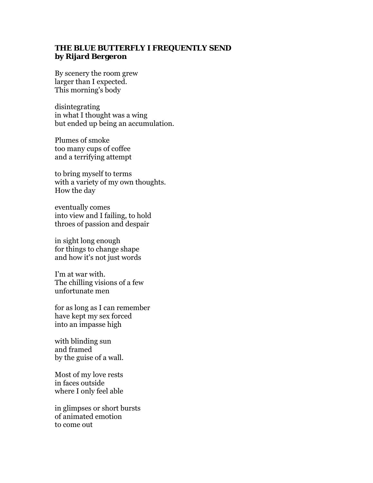## **THE BLUE BUTTERFLY I FREQUENTLY SEND by Rijard Bergeron**

By scenery the room grew larger than I expected. This morning's body

disintegrating in what I thought was a wing but ended up being an accumulation.

Plumes of smoke too many cups of coffee and a terrifying attempt

to bring myself to terms with a variety of my own thoughts. How the day

eventually comes into view and I failing, to hold throes of passion and despair

in sight long enough for things to change shape and how it's not just words

I'm at war with. The chilling visions of a few unfortunate men

for as long as I can remember have kept my sex forced into an impasse high

with blinding sun and framed by the guise of a wall.

Most of my love rests in faces outside where I only feel able

in glimpses or short bursts of animated emotion to come out